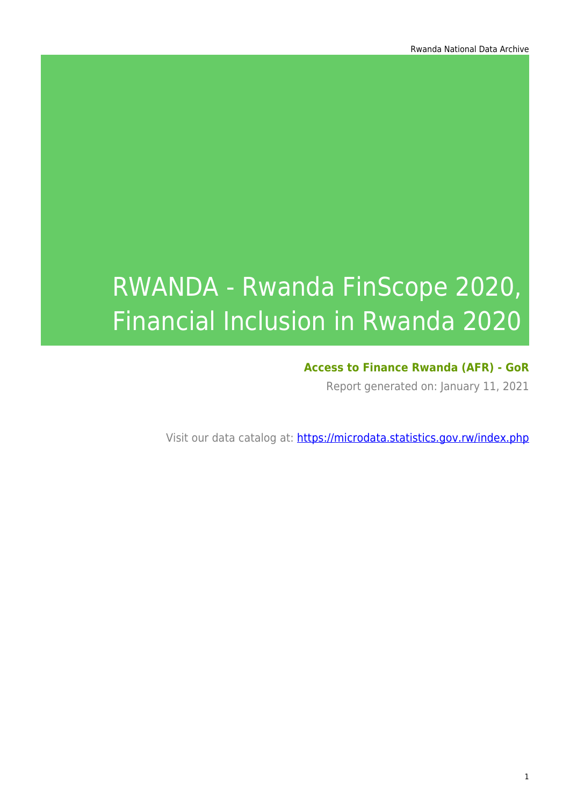# RWANDA - Rwanda FinScope 2020, Financial Inclusion in Rwanda 2020

#### **Access to Finance Rwanda (AFR) - GoR**

Report generated on: January 11, 2021

Visit our data catalog at: https://microdata.statistics.gov.rw/index.php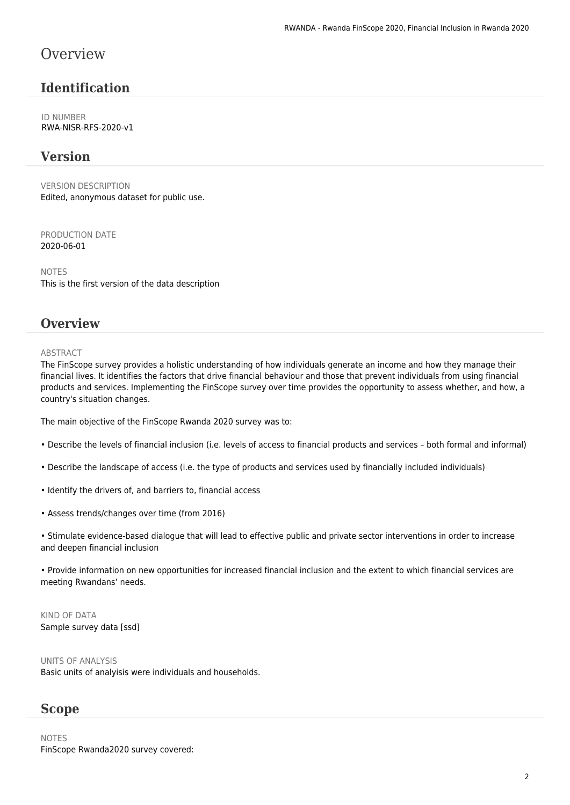#### **Overview**

#### **Identification**

ID NUMBER RWA-NISR-RFS-2020-v1

#### **Version**

VERSION DESCRIPTION Edited, anonymous dataset for public use.

PRODUCTION DATE 2020-06-01

NOTES This is the first version of the data description

#### **Overview**

#### **ABSTRACT**

The FinScope survey provides a holistic understanding of how individuals generate an income and how they manage their financial lives. It identifies the factors that drive financial behaviour and those that prevent individuals from using financial products and services. Implementing the FinScope survey over time provides the opportunity to assess whether, and how, a country's situation changes.

The main objective of the FinScope Rwanda 2020 survey was to:

- Describe the levels of financial inclusion (i.e. levels of access to financial products and services both formal and informal)
- Describe the landscape of access (i.e. the type of products and services used by financially included individuals)
- Identify the drivers of, and barriers to, financial access
- Assess trends/changes over time (from 2016)

• Stimulate evidence-based dialogue that will lead to effective public and private sector interventions in order to increase and deepen financial inclusion

• Provide information on new opportunities for increased financial inclusion and the extent to which financial services are meeting Rwandans' needs.

KIND OF DATA Sample survey data [ssd]

UNITS OF ANALYSIS Basic units of analyisis were individuals and households.

#### **Scope**

NOTES FinScope Rwanda2020 survey covered: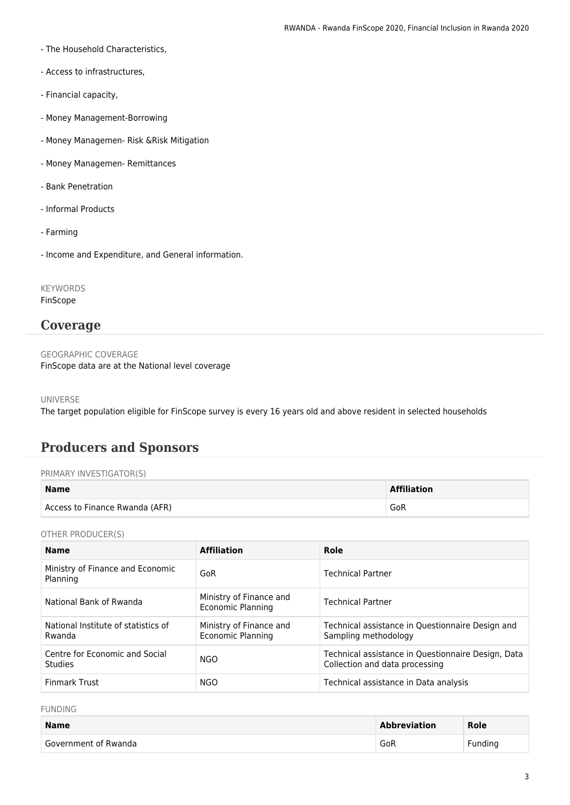- The Household Characteristics,
- Access to infrastructures,
- Financial capacity,
- Money Management-Borrowing
- Money Managemen- Risk &Risk Mitigation
- Money Managemen- Remittances
- Bank Penetration
- Informal Products
- Farming
- Income and Expenditure, and General information.

KEYWORDS FinScope

#### **Coverage**

GEOGRAPHIC COVERAGE FinScope data are at the National level coverage

UNIVERSE

The target population eligible for FinScope survey is every 16 years old and above resident in selected households

### **Producers and Sponsors**

#### PRIMARY INVESTIGATOR(S)

| <b>Name</b>                    | <b>Affiliation</b> |
|--------------------------------|--------------------|
| Access to Finance Rwanda (AFR) | GoR                |

OTHER PRODUCER(S)

| <b>Name</b>                                      | <b>Affiliation</b>                           | Role                                                                                 |
|--------------------------------------------------|----------------------------------------------|--------------------------------------------------------------------------------------|
| Ministry of Finance and Economic<br>Planning     | GoR                                          | <b>Technical Partner</b>                                                             |
| National Bank of Rwanda                          | Ministry of Finance and<br>Economic Planning | <b>Technical Partner</b>                                                             |
| National Institute of statistics of<br>Rwanda    | Ministry of Finance and<br>Economic Planning | Technical assistance in Questionnaire Design and<br>Sampling methodology             |
| Centre for Economic and Social<br><b>Studies</b> | NGO.                                         | Technical assistance in Questionnaire Design, Data<br>Collection and data processing |
| <b>Finmark Trust</b>                             | NGO                                          | Technical assistance in Data analysis                                                |

FUNDING

| <b>Name</b>          | <b>Abbreviation</b> | Role    |
|----------------------|---------------------|---------|
| Government of Rwanda | GoR                 | Fundina |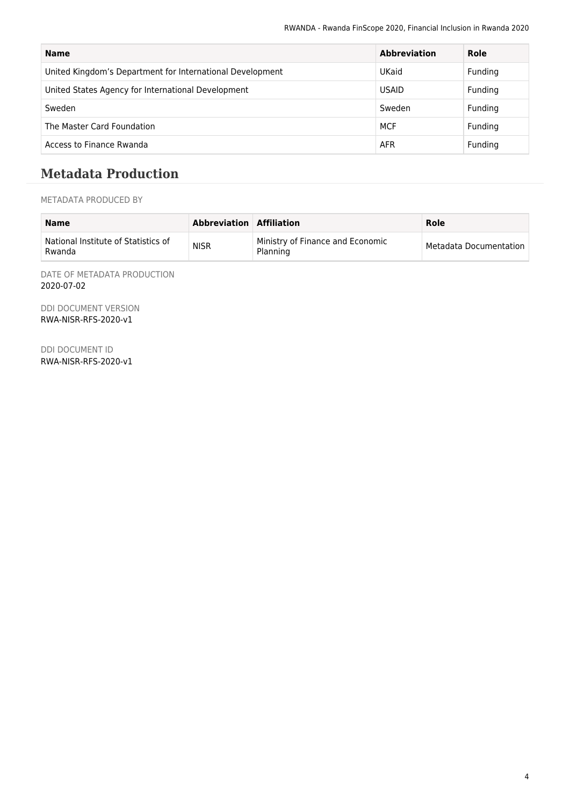| <b>Name</b>                                               | <b>Abbreviation</b> | Role    |
|-----------------------------------------------------------|---------------------|---------|
| United Kingdom's Department for International Development | UKaid               | Funding |
| United States Agency for International Development        | <b>USAID</b>        | Funding |
| Sweden                                                    | Sweden              | Funding |
| The Master Card Foundation                                | <b>MCF</b>          | Funding |
| Access to Finance Rwanda                                  | <b>AFR</b>          | Funding |

#### **Metadata Production**

METADATA PRODUCED BY

| <b>Name</b>                                   | Abbreviation Affiliation |                                              | Role                   |
|-----------------------------------------------|--------------------------|----------------------------------------------|------------------------|
| National Institute of Statistics of<br>Rwanda | <b>NISR</b>              | Ministry of Finance and Economic<br>Planning | Metadata Documentation |

DATE OF METADATA PRODUCTION 2020-07-02

DDI DOCUMENT VERSION RWA-NISR-RFS-2020-v1

DDI DOCUMENT ID RWA-NISR-RFS-2020-v1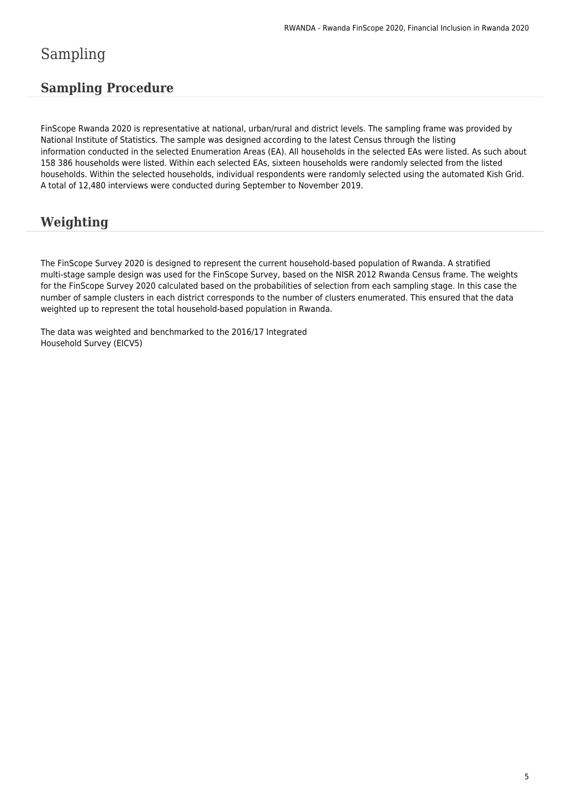## Sampling

#### **Sampling Procedure**

FinScope Rwanda 2020 is representative at national, urban/rural and district levels. The sampling frame was provided by National Institute of Statistics. The sample was designed according to the latest Census through the listing information conducted in the selected Enumeration Areas (EA). All households in the selected EAs were listed. As such about 158 386 households were listed. Within each selected EAs, sixteen households were randomly selected from the listed households. Within the selected households, individual respondents were randomly selected using the automated Kish Grid. A total of 12,480 interviews were conducted during September to November 2019.

## **Weighting**

The FinScope Survey 2020 is designed to represent the current household-based population of Rwanda. A stratified multi-stage sample design was used for the FinScope Survey, based on the NISR 2012 Rwanda Census frame. The weights for the FinScope Survey 2020 calculated based on the probabilities of selection from each sampling stage. In this case the number of sample clusters in each district corresponds to the number of clusters enumerated. This ensured that the data weighted up to represent the total household-based population in Rwanda.

The data was weighted and benchmarked to the 2016/17 Integrated Household Survey (EICV5)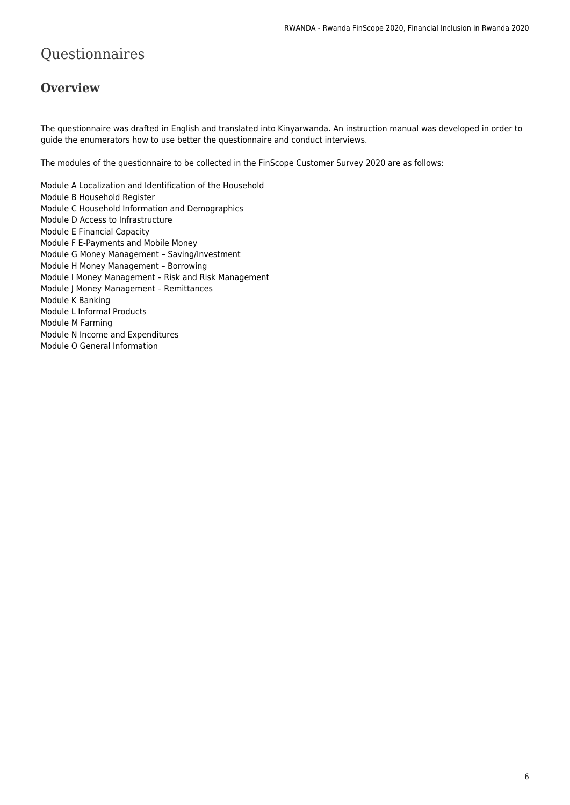## Questionnaires

#### **Overview**

The questionnaire was drafted in English and translated into Kinyarwanda. An instruction manual was developed in order to guide the enumerators how to use better the questionnaire and conduct interviews.

The modules of the questionnaire to be collected in the FinScope Customer Survey 2020 are as follows:

Module A Localization and Identification of the Household Module B Household Register Module C Household Information and Demographics Module D Access to Infrastructure Module E Financial Capacity Module F E-Payments and Mobile Money Module G Money Management – Saving/Investment Module H Money Management – Borrowing Module I Money Management – Risk and Risk Management Module J Money Management – Remittances Module K Banking Module L Informal Products Module M Farming Module N Income and Expenditures Module O General Information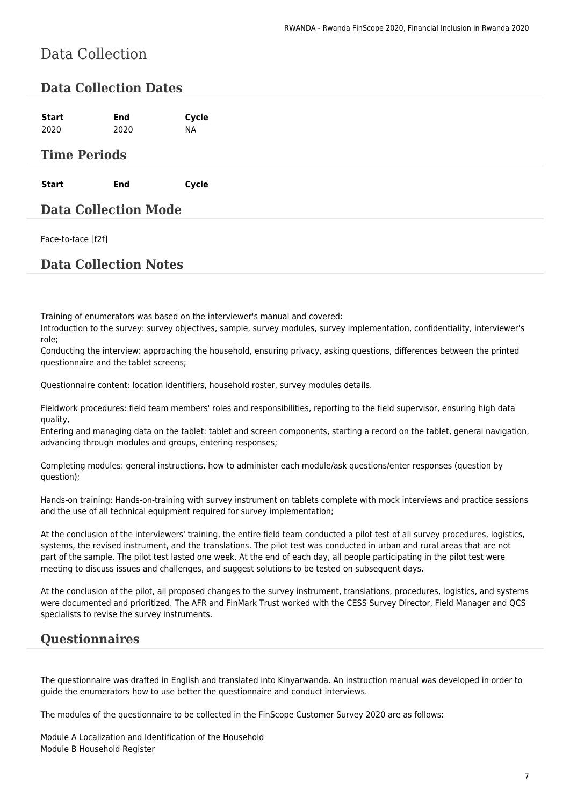## Data Collection

#### **Data Collection Dates**

#### **Time Periods**

**Start End Cycle**

#### **Data Collection Mode**

Face-to-face [f2f]

#### **Data Collection Notes**

Training of enumerators was based on the interviewer's manual and covered:

Introduction to the survey: survey objectives, sample, survey modules, survey implementation, confidentiality, interviewer's role;

Conducting the interview: approaching the household, ensuring privacy, asking questions, differences between the printed questionnaire and the tablet screens;

Questionnaire content: location identifiers, household roster, survey modules details.

Fieldwork procedures: field team members' roles and responsibilities, reporting to the field supervisor, ensuring high data quality,

Entering and managing data on the tablet: tablet and screen components, starting a record on the tablet, general navigation, advancing through modules and groups, entering responses;

Completing modules: general instructions, how to administer each module/ask questions/enter responses (question by question);

Hands-on training: Hands-on-training with survey instrument on tablets complete with mock interviews and practice sessions and the use of all technical equipment required for survey implementation;

At the conclusion of the interviewers' training, the entire field team conducted a pilot test of all survey procedures, logistics, systems, the revised instrument, and the translations. The pilot test was conducted in urban and rural areas that are not part of the sample. The pilot test lasted one week. At the end of each day, all people participating in the pilot test were meeting to discuss issues and challenges, and suggest solutions to be tested on subsequent days.

At the conclusion of the pilot, all proposed changes to the survey instrument, translations, procedures, logistics, and systems were documented and prioritized. The AFR and FinMark Trust worked with the CESS Survey Director, Field Manager and QCS specialists to revise the survey instruments.

#### **Questionnaires**

The questionnaire was drafted in English and translated into Kinyarwanda. An instruction manual was developed in order to guide the enumerators how to use better the questionnaire and conduct interviews.

The modules of the questionnaire to be collected in the FinScope Customer Survey 2020 are as follows:

Module A Localization and Identification of the Household Module B Household Register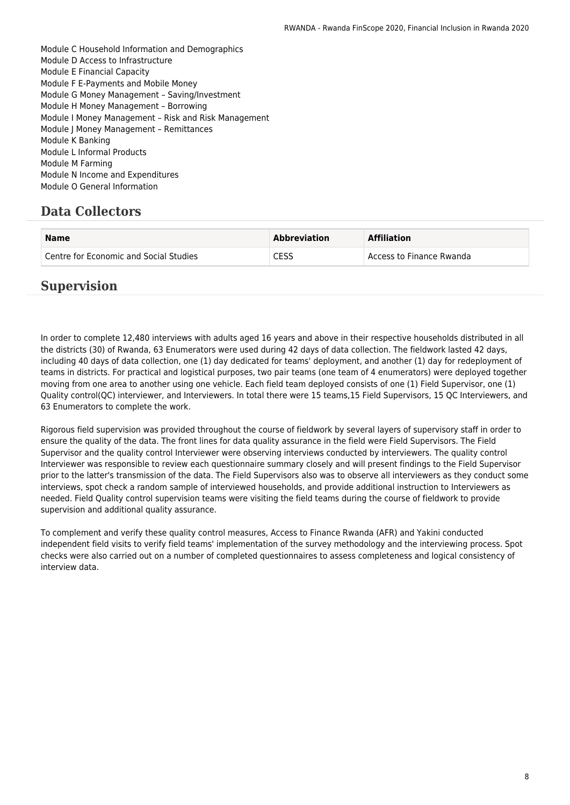Module C Household Information and Demographics Module D Access to Infrastructure Module E Financial Capacity Module F E-Payments and Mobile Money Module G Money Management – Saving/Investment Module H Money Management – Borrowing Module I Money Management – Risk and Risk Management Module J Money Management – Remittances Module K Banking Module L Informal Products Module M Farming Module N Income and Expenditures Module O General Information

### **Data Collectors**

| <b>Name</b>                            | <b>Abbreviation</b> | <b>Affiliation</b>       |
|----------------------------------------|---------------------|--------------------------|
| Centre for Economic and Social Studies | CESS                | Access to Finance Rwanda |

#### **Supervision**

In order to complete 12,480 interviews with adults aged 16 years and above in their respective households distributed in all the districts (30) of Rwanda, 63 Enumerators were used during 42 days of data collection. The fieldwork lasted 42 days, including 40 days of data collection, one (1) day dedicated for teams' deployment, and another (1) day for redeployment of teams in districts. For practical and logistical purposes, two pair teams (one team of 4 enumerators) were deployed together moving from one area to another using one vehicle. Each field team deployed consists of one (1) Field Supervisor, one (1) Quality control(QC) interviewer, and Interviewers. In total there were 15 teams,15 Field Supervisors, 15 QC Interviewers, and 63 Enumerators to complete the work.

Rigorous field supervision was provided throughout the course of fieldwork by several layers of supervisory staff in order to ensure the quality of the data. The front lines for data quality assurance in the field were Field Supervisors. The Field Supervisor and the quality control Interviewer were observing interviews conducted by interviewers. The quality control Interviewer was responsible to review each questionnaire summary closely and will present findings to the Field Supervisor prior to the latter's transmission of the data. The Field Supervisors also was to observe all interviewers as they conduct some interviews, spot check a random sample of interviewed households, and provide additional instruction to Interviewers as needed. Field Quality control supervision teams were visiting the field teams during the course of fieldwork to provide supervision and additional quality assurance.

To complement and verify these quality control measures, Access to Finance Rwanda (AFR) and Yakini conducted independent field visits to verify field teams' implementation of the survey methodology and the interviewing process. Spot checks were also carried out on a number of completed questionnaires to assess completeness and logical consistency of interview data.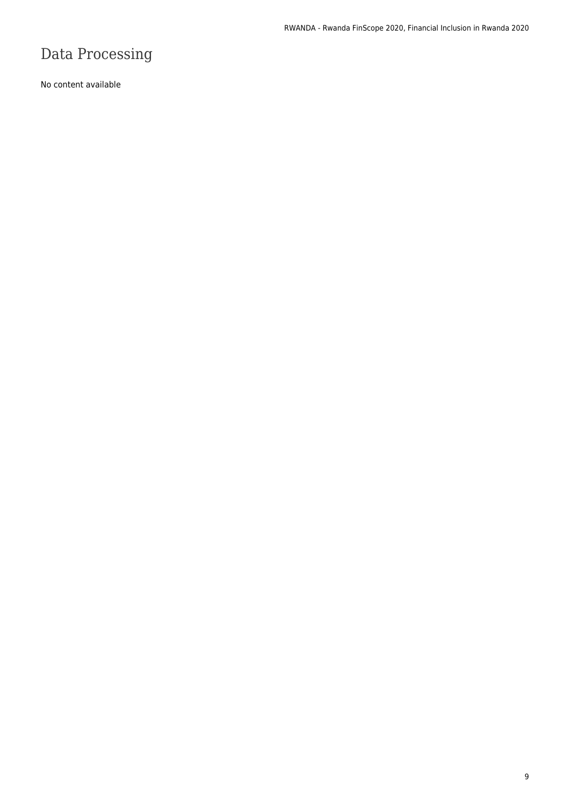# Data Processing

No content available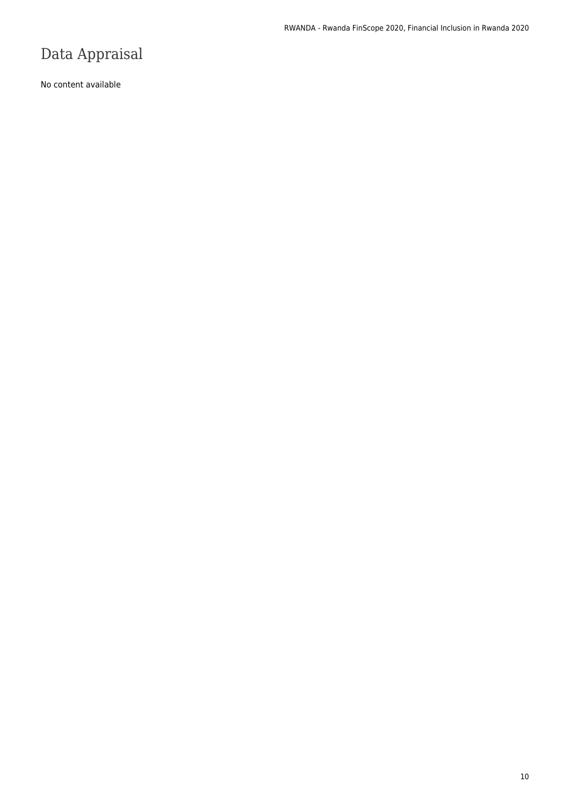## Data Appraisal

No content available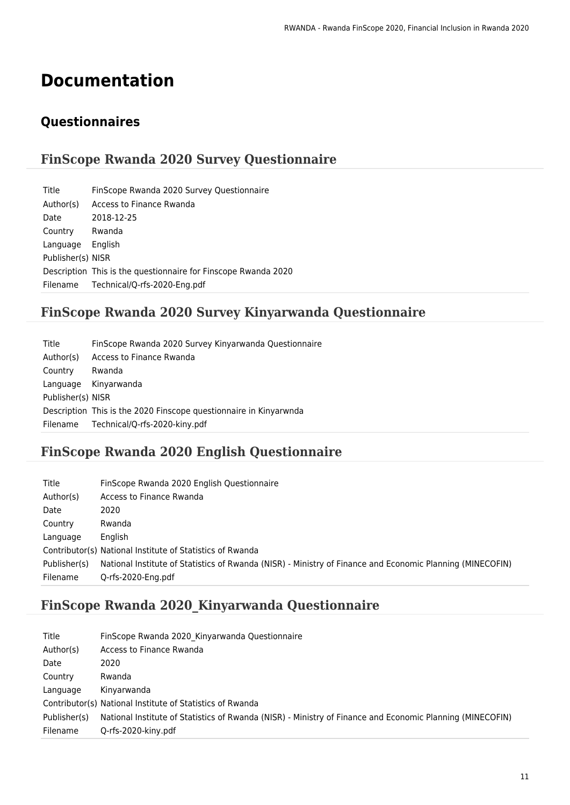# **Documentation**

#### **Questionnaires**

#### **FinScope Rwanda 2020 Survey Questionnaire**

| Title             | FinScope Rwanda 2020 Survey Questionnaire                      |
|-------------------|----------------------------------------------------------------|
| Author(s)         | Access to Finance Rwanda                                       |
| Date              | 2018-12-25                                                     |
| Country           | Rwanda                                                         |
| Language          | English                                                        |
| Publisher(s) NISR |                                                                |
|                   | Description This is the questionnaire for Finscope Rwanda 2020 |
|                   | Filename Technical/Q-rfs-2020-Eng.pdf                          |
|                   |                                                                |

### **FinScope Rwanda 2020 Survey Kinyarwanda Questionnaire**

| Title             | FinScope Rwanda 2020 Survey Kinyarwanda Questionnaire             |
|-------------------|-------------------------------------------------------------------|
| Author(s)         | Access to Finance Rwanda                                          |
| Country           | Rwanda                                                            |
|                   | Language Kinyarwanda                                              |
| Publisher(s) NISR |                                                                   |
|                   | Description This is the 2020 Finscope questionnaire in Kinyarwnda |
|                   | Filename Technical/Q-rfs-2020-kiny.pdf                            |

### **FinScope Rwanda 2020 English Questionnaire**

| Title        | FinScope Rwanda 2020 English Questionnaire                                                                |
|--------------|-----------------------------------------------------------------------------------------------------------|
| Author(s)    | Access to Finance Rwanda                                                                                  |
| Date         | 2020                                                                                                      |
| Country      | Rwanda                                                                                                    |
| Language     | English                                                                                                   |
|              | Contributor(s) National Institute of Statistics of Rwanda                                                 |
| Publisher(s) | National Institute of Statistics of Rwanda (NISR) - Ministry of Finance and Economic Planning (MINECOFIN) |
| Filename     | Q-rfs-2020-Eng.pdf                                                                                        |

### **FinScope Rwanda 2020\_Kinyarwanda Questionnaire**

| Title        | FinScope Rwanda 2020 Kinyarwanda Questionnaire                                                            |
|--------------|-----------------------------------------------------------------------------------------------------------|
| Author(s)    | Access to Finance Rwanda                                                                                  |
| Date         | 2020                                                                                                      |
| Country      | Rwanda                                                                                                    |
| Language     | Kinvarwanda                                                                                               |
|              | Contributor(s) National Institute of Statistics of Rwanda                                                 |
| Publisher(s) | National Institute of Statistics of Rwanda (NISR) - Ministry of Finance and Economic Planning (MINECOFIN) |
| Filename     | Q-rfs-2020-kiny.pdf                                                                                       |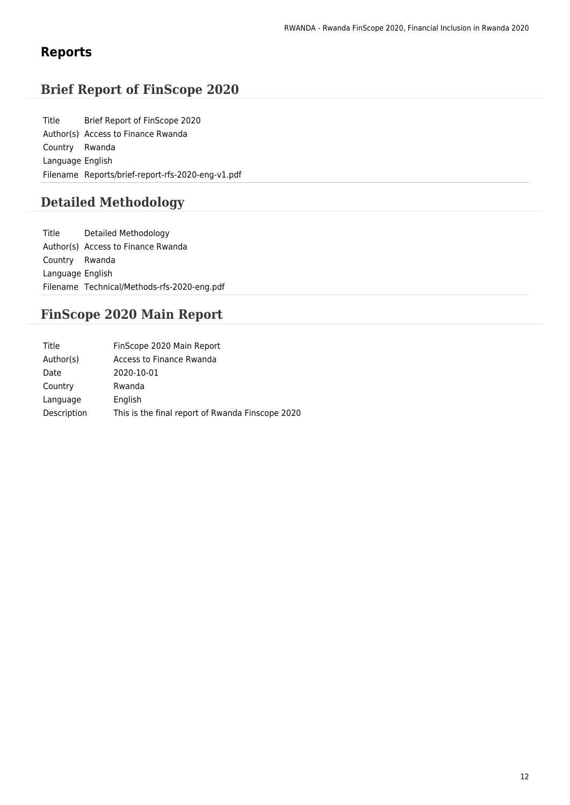#### **Reports**

### **Brief Report of FinScope 2020**

Title Brief Report of FinScope 2020 Author(s) Access to Finance Rwanda Country Rwanda Language English Filename Reports/brief-report-rfs-2020-eng-v1.pdf

#### **Detailed Methodology**

Title Detailed Methodology Author(s) Access to Finance Rwanda Country Rwanda Language English Filename Technical/Methods-rfs-2020-eng.pdf

#### **FinScope 2020 Main Report**

| Title       | FinScope 2020 Main Report                        |
|-------------|--------------------------------------------------|
| Author(s)   | Access to Finance Rwanda                         |
| Date        | 2020-10-01                                       |
| Country     | Rwanda                                           |
| Language    | English                                          |
| Description | This is the final report of Rwanda Finscope 2020 |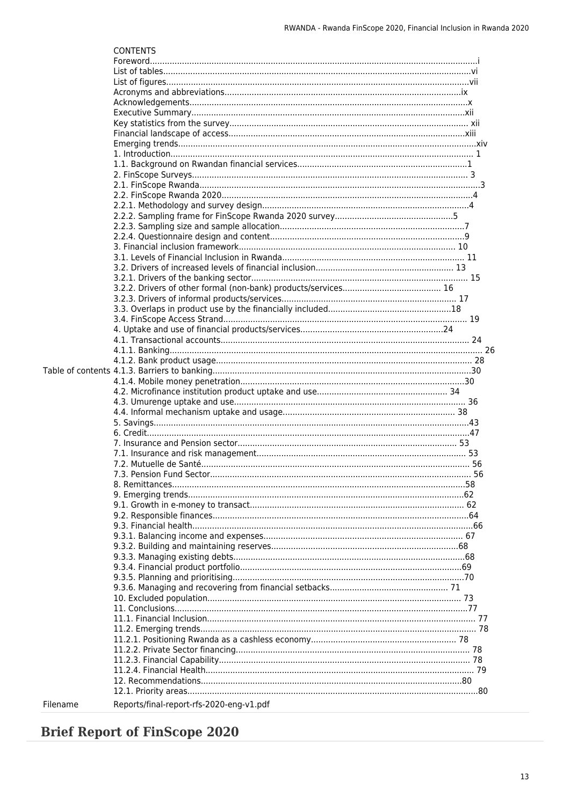|          | <b>CONTENTS</b>                          |  |
|----------|------------------------------------------|--|
|          |                                          |  |
|          |                                          |  |
|          |                                          |  |
|          |                                          |  |
|          |                                          |  |
|          |                                          |  |
|          |                                          |  |
|          |                                          |  |
|          |                                          |  |
|          |                                          |  |
|          |                                          |  |
|          |                                          |  |
|          |                                          |  |
|          |                                          |  |
|          |                                          |  |
|          |                                          |  |
|          |                                          |  |
|          |                                          |  |
|          |                                          |  |
|          |                                          |  |
|          |                                          |  |
|          |                                          |  |
|          |                                          |  |
|          |                                          |  |
|          |                                          |  |
|          |                                          |  |
|          |                                          |  |
|          |                                          |  |
|          |                                          |  |
|          |                                          |  |
|          |                                          |  |
|          |                                          |  |
|          |                                          |  |
|          |                                          |  |
|          |                                          |  |
|          |                                          |  |
|          |                                          |  |
|          |                                          |  |
|          |                                          |  |
|          |                                          |  |
|          |                                          |  |
|          |                                          |  |
|          |                                          |  |
|          |                                          |  |
|          |                                          |  |
|          |                                          |  |
|          |                                          |  |
|          |                                          |  |
|          |                                          |  |
|          |                                          |  |
|          |                                          |  |
|          |                                          |  |
|          |                                          |  |
|          |                                          |  |
|          |                                          |  |
|          |                                          |  |
|          |                                          |  |
|          |                                          |  |
|          |                                          |  |
|          |                                          |  |
|          |                                          |  |
| Filename | Reports/final-report-rfs-2020-eng-v1.pdf |  |

## **Brief Report of FinScope 2020**